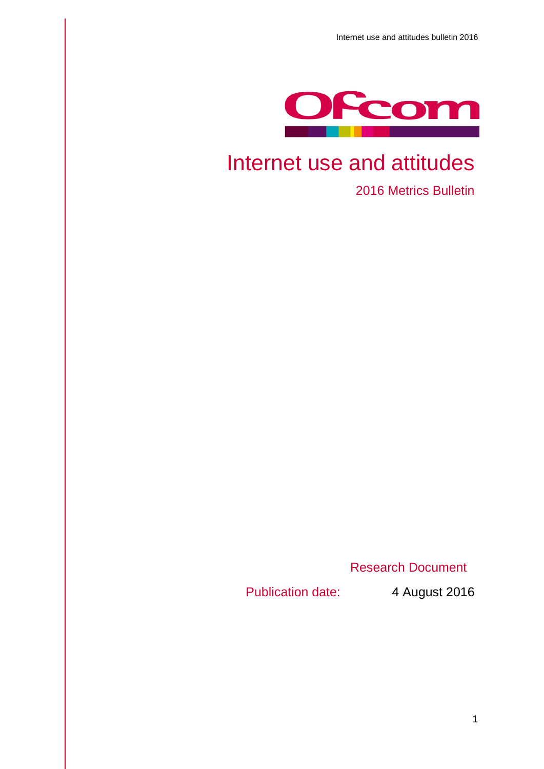

# Internet use and attitudes

2016 Metrics Bulletin

Research Document

Publication date: 4 August 2016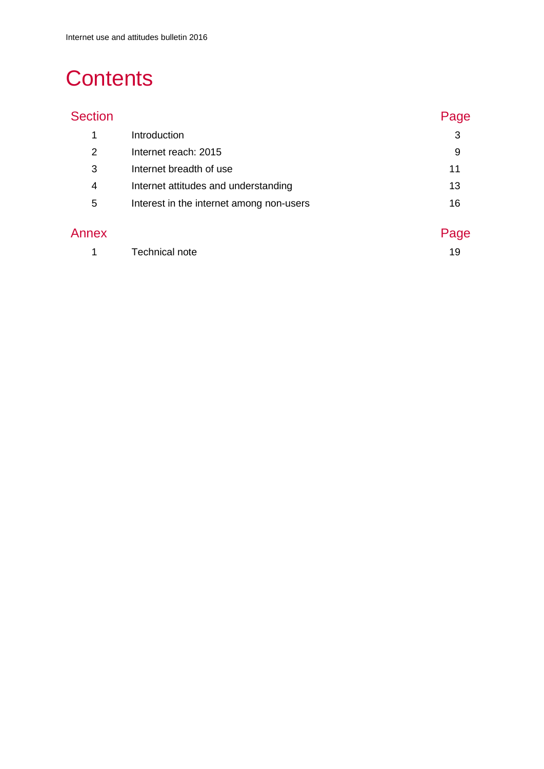# **Contents**

| ÷ | ction |  |
|---|-------|--|
|   |       |  |

| <b>Section</b>         |                                          | Page  |
|------------------------|------------------------------------------|-------|
| 1                      | Introduction                             | 3     |
| 2                      | Internet reach: 2015                     | 9     |
| 3                      | Internet breadth of use                  | 11    |
| 4                      | Internet attitudes and understanding     | 13    |
| 5                      | Interest in the internet among non-users | 16    |
| $\Lambda$ in $\Lambda$ |                                          | Dogo. |

| Annex |                | Page |
|-------|----------------|------|
|       | Technical note |      |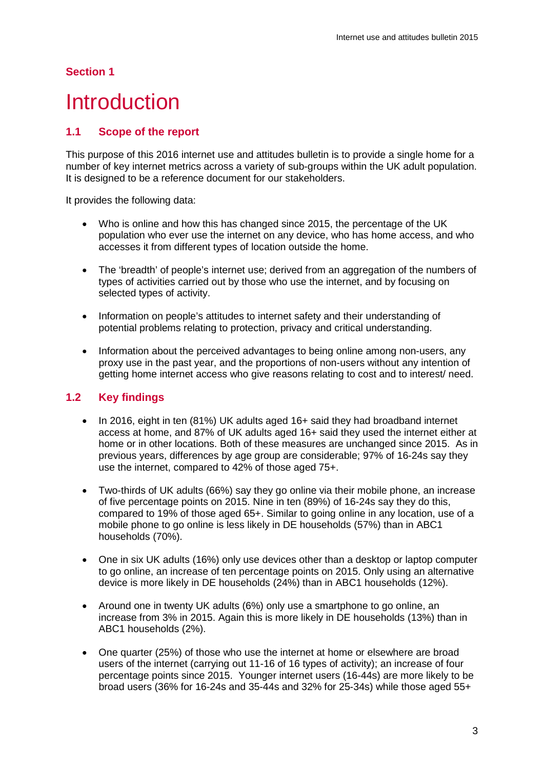## <span id="page-2-0"></span>**Introduction**

#### **1.1 Scope of the report**

This purpose of this 2016 internet use and attitudes bulletin is to provide a single home for a number of key internet metrics across a variety of sub-groups within the UK adult population. It is designed to be a reference document for our stakeholders.

It provides the following data:

- Who is online and how this has changed since 2015, the percentage of the UK population who ever use the internet on any device, who has home access, and who accesses it from different types of location outside the home.
- The 'breadth' of people's internet use; derived from an aggregation of the numbers of types of activities carried out by those who use the internet, and by focusing on selected types of activity.
- Information on people's attitudes to internet safety and their understanding of potential problems relating to protection, privacy and critical understanding.
- Information about the perceived advantages to being online among non-users, any proxy use in the past year, and the proportions of non-users without any intention of getting home internet access who give reasons relating to cost and to interest/ need.

#### **1.2 Key findings**

- In 2016, eight in ten (81%) UK adults aged 16+ said they had broadband internet access at home, and 87% of UK adults aged 16+ said they used the internet either at home or in other locations. Both of these measures are unchanged since 2015. As in previous years, differences by age group are considerable; 97% of 16-24s say they use the internet, compared to 42% of those aged 75+.
- Two-thirds of UK adults (66%) say they go online via their mobile phone, an increase of five percentage points on 2015. Nine in ten (89%) of 16-24s say they do this, compared to 19% of those aged 65+. Similar to going online in any location, use of a mobile phone to go online is less likely in DE households (57%) than in ABC1 households (70%).
- One in six UK adults (16%) only use devices other than a desktop or laptop computer to go online, an increase of ten percentage points on 2015. Only using an alternative device is more likely in DE households (24%) than in ABC1 households (12%).
- Around one in twenty UK adults (6%) only use a smartphone to go online, an increase from 3% in 2015. Again this is more likely in DE households (13%) than in ABC1 households (2%).
- One quarter (25%) of those who use the internet at home or elsewhere are broad users of the internet (carrying out 11-16 of 16 types of activity); an increase of four percentage points since 2015. Younger internet users (16-44s) are more likely to be broad users (36% for 16-24s and 35-44s and 32% for 25-34s) while those aged 55+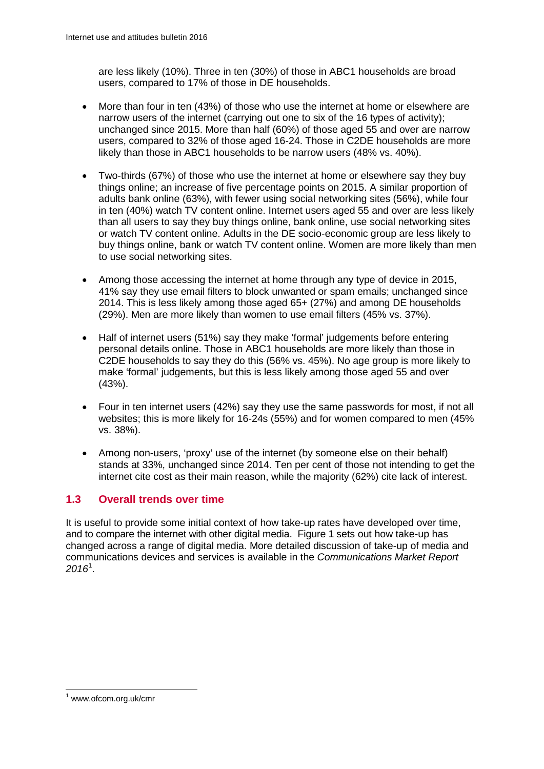are less likely (10%). Three in ten (30%) of those in ABC1 households are broad users, compared to 17% of those in DE households.

- More than four in ten (43%) of those who use the internet at home or elsewhere are narrow users of the internet (carrying out one to six of the 16 types of activity); unchanged since 2015. More than half (60%) of those aged 55 and over are narrow users, compared to 32% of those aged 16-24. Those in C2DE households are more likely than those in ABC1 households to be narrow users (48% vs. 40%).
- Two-thirds (67%) of those who use the internet at home or elsewhere say they buy things online; an increase of five percentage points on 2015. A similar proportion of adults bank online (63%), with fewer using social networking sites (56%), while four in ten (40%) watch TV content online. Internet users aged 55 and over are less likely than all users to say they buy things online, bank online, use social networking sites or watch TV content online. Adults in the DE socio-economic group are less likely to buy things online, bank or watch TV content online. Women are more likely than men to use social networking sites.
- Among those accessing the internet at home through any type of device in 2015, 41% say they use email filters to block unwanted or spam emails; unchanged since 2014. This is less likely among those aged 65+ (27%) and among DE households (29%). Men are more likely than women to use email filters (45% vs. 37%).
- Half of internet users (51%) say they make 'formal' judgements before entering personal details online. Those in ABC1 households are more likely than those in C2DE households to say they do this (56% vs. 45%). No age group is more likely to make 'formal' judgements, but this is less likely among those aged 55 and over (43%).
- Four in ten internet users (42%) say they use the same passwords for most, if not all websites; this is more likely for 16-24s (55%) and for women compared to men (45% vs. 38%).
- Among non-users, 'proxy' use of the internet (by someone else on their behalf) stands at 33%, unchanged since 2014. Ten per cent of those not intending to get the internet cite cost as their main reason, while the majority (62%) cite lack of interest.

#### **1.3 Overall trends over time**

It is useful to provide some initial context of how take-up rates have developed over time, and to compare the internet with other digital media. Figure 1 sets out how take-up has changed across a range of digital media. More detailed discussion of take-up of media and communications devices and services is available in the *Communications Market Report 2016*[1](#page-3-0) .

<span id="page-3-0"></span><sup>1</sup> www.ofcom.org.uk/cmr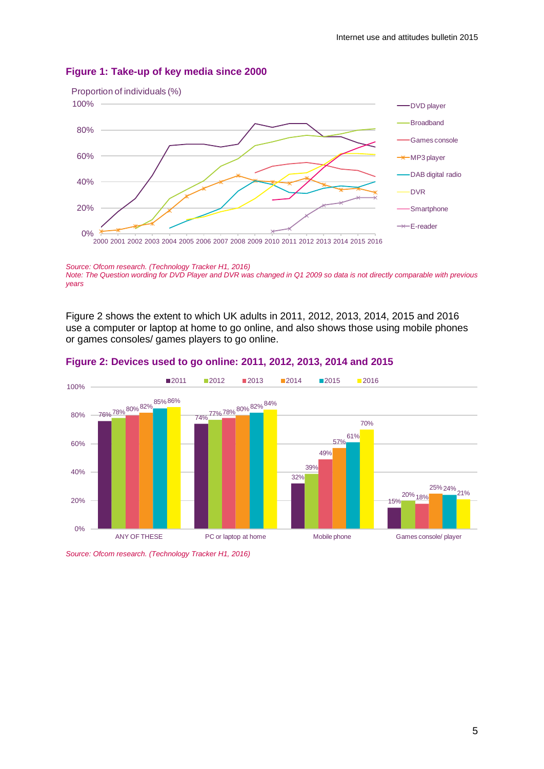

#### **Figure 1: Take-up of key media since 2000**

*Source: Ofcom research. (Technology Tracker H1, 2016) Note: The Question wording for DVD Player and DVR was changed in Q1 2009 so data is not directly comparable with previous years*

Figure 2 shows the extent to which UK adults in 2011, 2012, 2013, 2014, 2015 and 2016 use a computer or laptop at home to go online, and also shows those using mobile phones or games consoles/ games players to go online.



#### **Figure 2: Devices used to go online: 2011, 2012, 2013, 2014 and 2015**

*Source: Ofcom research. (Technology Tracker H1, 2016)*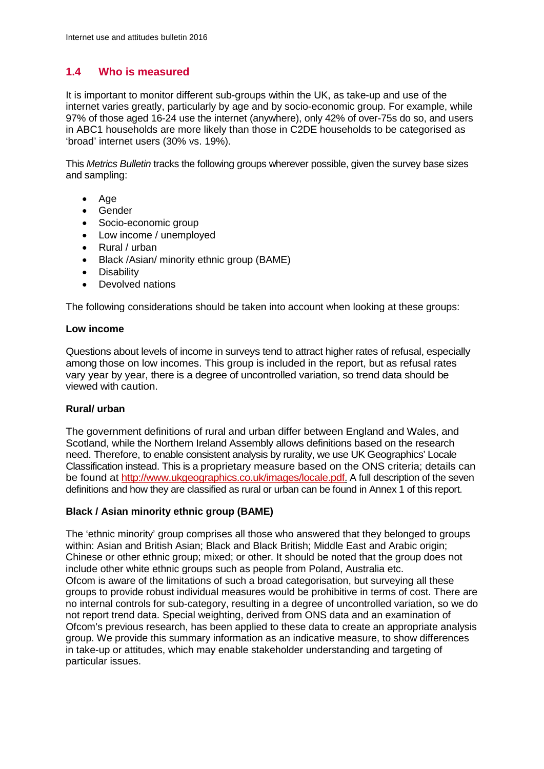### **1.4 Who is measured**

It is important to monitor different sub-groups within the UK, as take-up and use of the internet varies greatly, particularly by age and by socio-economic group. For example, while 97% of those aged 16-24 use the internet (anywhere), only 42% of over-75s do so, and users in ABC1 households are more likely than those in C2DE households to be categorised as 'broad' internet users (30% vs. 19%).

This *Metrics Bulletin* tracks the following groups wherever possible, given the survey base sizes and sampling:

- Age
- Gender
- Socio-economic group
- Low income / unemployed
- Rural / urban
- Black /Asian/ minority ethnic group (BAME)
- Disability
- Devolved nations

The following considerations should be taken into account when looking at these groups:

#### **Low income**

Questions about levels of income in surveys tend to attract higher rates of refusal, especially among those on low incomes. This group is included in the report, but as refusal rates vary year by year, there is a degree of uncontrolled variation, so trend data should be viewed with caution.

#### **Rural/ urban**

The government definitions of rural and urban differ between England and Wales, and Scotland, while the Northern Ireland Assembly allows definitions based on the research need. Therefore, to enable consistent analysis by rurality, we use UK Geographics' Locale Classification instead. This is a proprietary measure based on the ONS criteria; details can be found at [http://www.ukgeographics.co.uk/images/locale.pdf.](http://www.ukgeographics.co.uk/images/locale.pdf) A full description of the seven definitions and how they are classified as rural or urban can be found in Annex 1 of this report.

#### **Black / Asian minority ethnic group (BAME)**

The 'ethnic minority' group comprises all those who answered that they belonged to groups within: Asian and British Asian; Black and Black British; Middle East and Arabic origin; Chinese or other ethnic group; mixed; or other. It should be noted that the group does not include other white ethnic groups such as people from Poland, Australia etc. Ofcom is aware of the limitations of such a broad categorisation, but surveying all these groups to provide robust individual measures would be prohibitive in terms of cost. There are no internal controls for sub-category, resulting in a degree of uncontrolled variation, so we do not report trend data. Special weighting, derived from ONS data and an examination of Ofcom's previous research, has been applied to these data to create an appropriate analysis group. We provide this summary information as an indicative measure, to show differences in take-up or attitudes, which may enable stakeholder understanding and targeting of particular issues.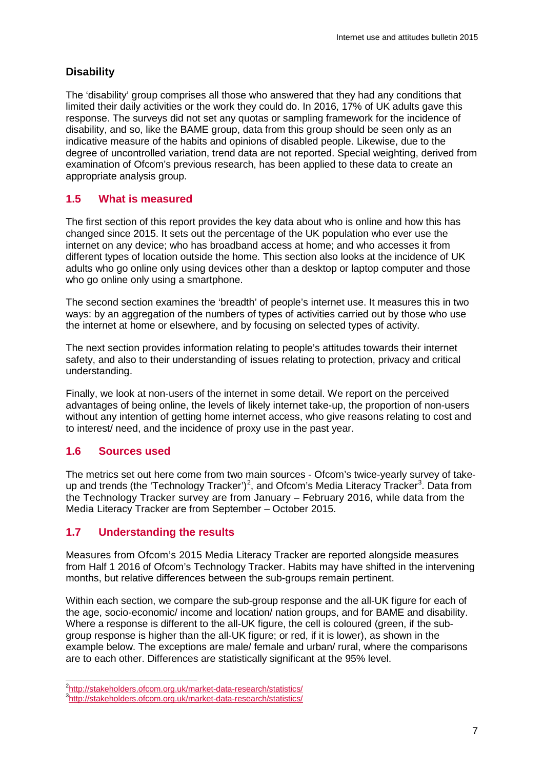### **Disability**

The 'disability' group comprises all those who answered that they had any conditions that limited their daily activities or the work they could do. In 2016, 17% of UK adults gave this response. The surveys did not set any quotas or sampling framework for the incidence of disability, and so, like the BAME group, data from this group should be seen only as an indicative measure of the habits and opinions of disabled people. Likewise, due to the degree of uncontrolled variation, trend data are not reported. Special weighting, derived from examination of Ofcom's previous research, has been applied to these data to create an appropriate analysis group.

### **1.5 What is measured**

The first section of this report provides the key data about who is online and how this has changed since 2015. It sets out the percentage of the UK population who ever use the internet on any device; who has broadband access at home; and who accesses it from different types of location outside the home. This section also looks at the incidence of UK adults who go online only using devices other than a desktop or laptop computer and those who go online only using a smartphone.

The second section examines the 'breadth' of people's internet use. It measures this in two ways: by an aggregation of the numbers of types of activities carried out by those who use the internet at home or elsewhere, and by focusing on selected types of activity.

The next section provides information relating to people's attitudes towards their internet safety, and also to their understanding of issues relating to protection, privacy and critical understanding.

Finally, we look at non-users of the internet in some detail. We report on the perceived advantages of being online, the levels of likely internet take-up, the proportion of non-users without any intention of getting home internet access, who give reasons relating to cost and to interest/ need, and the incidence of proxy use in the past year.

### **1.6 Sources used**

The metrics set out here come from two main sources - Ofcom's twice-yearly survey of take-up and trends (the 'Technology Tracker')<sup>[2](#page-6-0)</sup>, and Ofcom's Media Literacy Tracker<sup>[3](#page-6-1)</sup>. Data from the Technology Tracker survey are from January – February 2016, while data from the Media Literacy Tracker are from September – October 2015.

### **1.7 Understanding the results**

Measures from Ofcom's 2015 Media Literacy Tracker are reported alongside measures from Half 1 2016 of Ofcom's Technology Tracker. Habits may have shifted in the intervening months, but relative differences between the sub-groups remain pertinent.

Within each section, we compare the sub-group response and the all-UK figure for each of the age, socio-economic/ income and location/ nation groups, and for BAME and disability. Where a response is different to the all-UK figure, the cell is coloured (green, if the subgroup response is higher than the all-UK figure; or red, if it is lower), as shown in the example below. The exceptions are male/ female and urban/ rural, where the comparisons are to each other. Differences are statistically significant at the 95% level.

 $\frac{1}{2}$ <http://stakeholders.ofcom.org.uk/market-data-research/statistics/> <sup>3</sup>

<span id="page-6-1"></span><span id="page-6-0"></span><http://stakeholders.ofcom.org.uk/market-data-research/statistics/>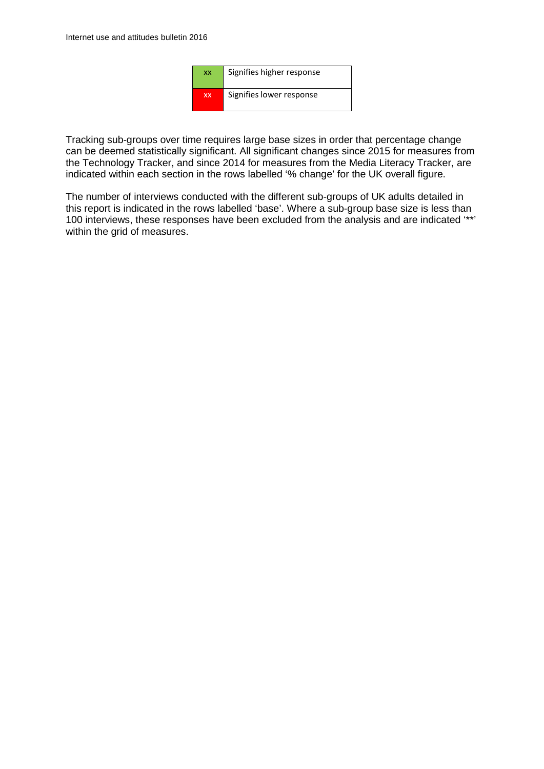

Tracking sub-groups over time requires large base sizes in order that percentage change can be deemed statistically significant. All significant changes since 2015 for measures from the Technology Tracker, and since 2014 for measures from the Media Literacy Tracker, are indicated within each section in the rows labelled '% change' for the UK overall figure.

The number of interviews conducted with the different sub-groups of UK adults detailed in this report is indicated in the rows labelled 'base'. Where a sub-group base size is less than 100 interviews, these responses have been excluded from the analysis and are indicated '\*\*' within the grid of measures.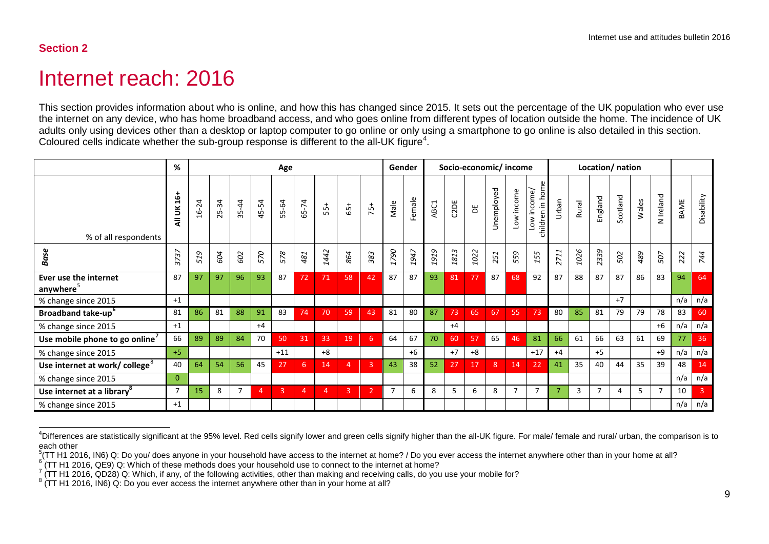## <span id="page-8-5"></span><span id="page-8-4"></span><span id="page-8-3"></span><span id="page-8-2"></span><span id="page-8-1"></span>Internet reach: 2016

This section provides information about who is online, and how this has changed since 2015. It sets out the percentage of the UK population who ever use the internet on any device, who has home broadband access, and who goes online from different types of location outside the home. The incidence of UK adults only using devices other than a desktop or laptop computer to go online or only using a smartphone to go online is also detailed in this section. Coloured cells indicate whether the sub-group response is different to the all-UK figure<sup>[4](#page-8-1)</sup>.

<span id="page-8-0"></span>

|                                                | %                                                    |                                  |       |                 |                     | Age   |                |       |                |            | Gender                |                       |          | Socio-economic/income |      |            |                |                                                     |                |       | Location/nation |          |       |                |      |                |
|------------------------------------------------|------------------------------------------------------|----------------------------------|-------|-----------------|---------------------|-------|----------------|-------|----------------|------------|-----------------------|-----------------------|----------|-----------------------|------|------------|----------------|-----------------------------------------------------|----------------|-------|-----------------|----------|-------|----------------|------|----------------|
| % of all respondents                           | ទី<br>All UK                                         | $\overline{2}$<br>$\frac{6}{16}$ | 25-34 | $\dot{4}$<br>35 | $-54$<br>$\ddot{a}$ | 55-64 | 65-74          | $55+$ | $65+$          | $75+$      | Male                  | Female                | ABC1     | C2DE                  | Ъ    | Unemployed | Low income     | ome<br>income<br>≘.<br>children<br>$\sum_{i=1}^{n}$ | Urban          | Rural | England         | Scotland | Wales | N Ireland      | BAME | Disability     |
| Base                                           | $\overline{\phantom{0}}$<br>$\sim$<br>K.<br>$\omega$ | Ó<br>51                          | 604   | 602             | 570                 | 578   | 481            | 442   | 864            | 383        | 790<br>$\overline{ }$ | 947<br>$\overline{ }$ | 919<br>1 | 1813                  | 1022 | 251        | 559            | 155                                                 | 711<br>$\sim$  | 1026  | 2339            | 502      | 489   | 507            | 222  | 744            |
| Ever use the internet<br>anywhere <sup>5</sup> | 87                                                   | 97                               | 97    | 96              | 93                  | 87    | 72             | 71    | 58             | 42         | 87                    | 87                    | 93       | 81                    | 77   | 87         | 68             | 92                                                  | 87             | 88    | 87              | 87       | 86    | 83             | 94   | 64             |
| % change since 2015                            | $+1$                                                 |                                  |       |                 |                     |       |                |       |                |            |                       |                       |          |                       |      |            |                |                                                     |                |       |                 | $+7$     |       |                | n/a  | n/a            |
| <b>Broadband take-up</b> <sup>o</sup>          | 81                                                   | 86                               | 81    | 88              | 91                  | 83    | 74             | 70    | 59             | 43         | 81                    | 80                    | 87       | 73                    | 65   | 67         | 55             | 73                                                  | 80             | 85    | 81              | 79       | 79    | 78             | 83   | 60             |
| % change since 2015                            | $+1$                                                 |                                  |       |                 | $+4$                |       |                |       |                |            |                       |                       |          | $+4$                  |      |            |                |                                                     |                |       |                 |          |       | $+6$           | n/a  | n/a            |
| Use mobile phone to go online'                 | 66                                                   | 89                               | 89    | 84              | 70                  | 50    | 31             | 33    | 19             | 6          | 64                    | 67                    | 70       | 60                    | 57   | 65         | 46             | 81                                                  | 66             | 61    | 66              | 63       | 61    | 69             | 77   | 36             |
| % change since 2015                            | $+5$                                                 |                                  |       |                 |                     | $+11$ |                | $+8$  |                |            |                       | $+6$                  |          | $+7$                  | $+8$ |            |                | $+17$                                               | $+4$           |       | $+5$            |          |       | $+9$           | n/a  | n/a            |
| Use internet at work/ college <sup>8</sup>     | 40                                                   | 64                               | 54    | 56              | 45                  | 27    | 6              | 14    | $\overline{4}$ | 3          | 43                    | 38                    | 52       | 27                    | 17   | 8          | 14             | 22                                                  | 41             | 35    | 40              | 44       | 35    | 39             | 48   | 14             |
| % change since 2015                            | $\Omega$                                             |                                  |       |                 |                     |       |                |       |                |            |                       |                       |          |                       |      |            |                |                                                     |                |       |                 |          |       |                | n/a  | n/a            |
| Use internet at a library <sup>8</sup>         | 7                                                    | 15                               | 8     | $\overline{7}$  | 4                   | 3     | $\overline{4}$ | 4     | 3              | $\sqrt{2}$ | 7                     | 6                     | 8        | $5^{\circ}$           | 6    | 8          | $\overline{7}$ | $\overline{7}$                                      | $\overline{ }$ | 3     | $\overline{7}$  | 4        | 5     | $\overline{7}$ | 10   | $\overline{3}$ |
| % change since 2015                            | $+1$                                                 |                                  |       |                 |                     |       |                |       |                |            |                       |                       |          |                       |      |            |                |                                                     |                |       |                 |          |       |                | n/a  | n/a            |

4 Differences are statistically significant at the 95% level. Red cells signify lower and green cells signify higher than the all-UK figure. For male/ female and rural/ urban, the comparison is to each other

<sup>&</sup>lt;sup>5</sup>(TT H1 2016, IN6) Q: Do you/ does anyone in your household have access to the internet at home? / Do you ever access the internet anywhere other than in your home at all?

<sup>&</sup>lt;sup>6</sup> (TT H1 2016, QE9) Q: Which of these methods does your household use to connect to the internet at home?<br><sup>7</sup> (TT H1 2016, QD28) Q: Which of these methods does your household use to connect to the internet at home?<br><sup>7</sup>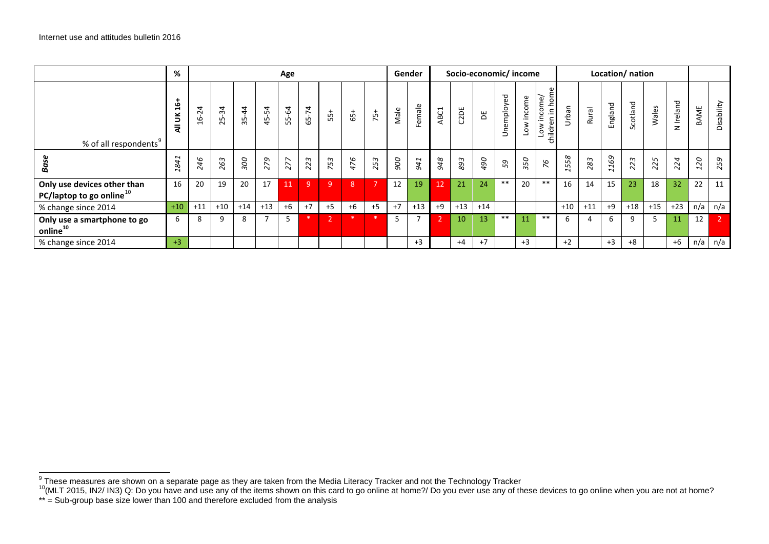<span id="page-9-1"></span><span id="page-9-0"></span>

|                                                               | %                     |                  |                                    |           |                       | Age   |       |          |      |                |      | Gender |      | Socio-economic/income |       |                |               |                                   |       |       |         | Location/ nation |       |           |      |            |
|---------------------------------------------------------------|-----------------------|------------------|------------------------------------|-----------|-----------------------|-------|-------|----------|------|----------------|------|--------|------|-----------------------|-------|----------------|---------------|-----------------------------------|-------|-------|---------|------------------|-------|-----------|------|------------|
| % of all respondents <sup>9</sup>                             | ف<br>⊣<br>∍<br>₹      | 4<br>$\sim$<br>6 | $\overline{34}$<br>25 <sub>1</sub> | $35 - 44$ | 4<br>LÒ<br>$\ddot{a}$ | 55-64 | 65-74 | $55 +$   | 65+  | $75+$          | Male | Female | ABC1 | C2DE                  | ж     | nemployed<br>⊃ | income<br>No7 | income<br>hildren in ho<br>₹<br>Ö | nban  | Rural | England | Scotland         | Wales | N Ireland | BAME | Disability |
| Ba                                                            | 841<br>$\overline{ }$ | 246              | 263                                | 300       | 279                   | 277   | 223   | 53<br>N. | 476  | 253            | 900  | 941    | 948  | 893                   | 067   | 59             | 350           | 94                                | 558   | 283   | 1169    | 223              | 225   | 224       | 120  | 259        |
| Only use devices other than<br>PC/laptop to go online $^{10}$ | 16                    | 20               | 19                                 | 20        | 17                    | 11    | l 9.  | 9        | 8    | $\overline{7}$ | 12   | 19     | 12   | 21                    | 24    | $***$          | 20            | $***$                             | 16    | 14    | 15      | 23               | 18    | 32        | 22   | 11         |
| % change since 2014                                           | $+10$                 | $+11$            | $+10$                              | $+14$     | $+13$                 | $+6$  | $+7$  | $+5$     | $+6$ | $+5$           | $+7$ | $+13$  | $+9$ | $+13$                 | $+14$ |                |               |                                   | $+10$ | $+11$ | $+9$    | $+18$            | $+15$ | $+23$     | n/a  | n/a        |
| Only use a smartphone to go<br>online <sup>10</sup>           | 6                     |                  | 9                                  | 8         |                       | 5     |       |          |      |                | -5   |        |      | 10 <sup>°</sup>       | 13    | **             |               | **                                |       |       | 6       | 9                |       | 11        | 12   |            |
| % change since 2014                                           | $+3$                  |                  |                                    |           |                       |       |       |          |      |                |      | $+3$   |      | $+4$                  | $+7$  |                | $+3$          |                                   | $+2$  |       | $+3$    | $+8$             |       | $+6$      | n/a  | n/a        |

<sup>&</sup>lt;sup>9</sup> These measures are shown on a separate page as they are taken from the Media Literacy Tracker and not the Technology Tracker<br><sup>10</sup>(MLT 2015, IN2/ IN3) Q: Do you have and use any of the items shown on this card to go on

<sup>\*\* =</sup> Sub-group base size lower than 100 and therefore excluded from the analysis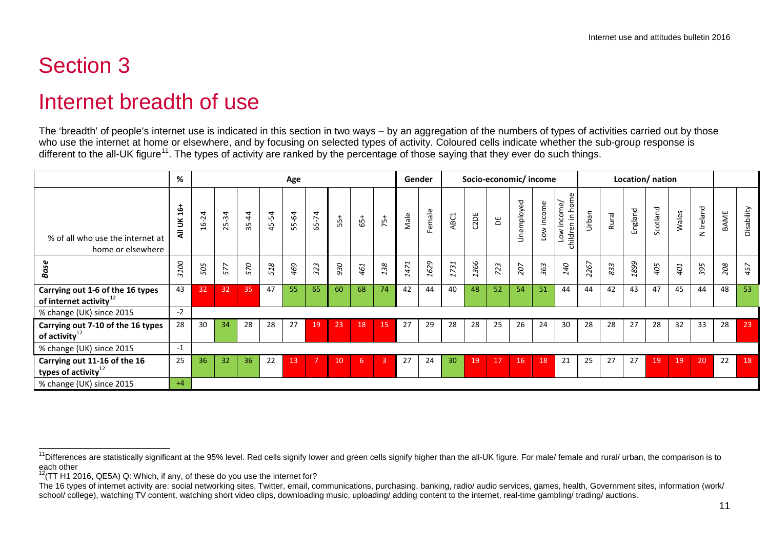## <span id="page-10-2"></span><span id="page-10-1"></span>Internet breadth of use

The 'breadth' of people's internet use is indicated in this section in two ways – by an aggregation of the numbers of types of activities carried out by those who use the internet at home or elsewhere, and by focusing on selected types of activity. Coloured cells indicate whether the sub-group response is different to the all-UK figure<sup>11</sup>. The types of activity are ranked by the percentage of those saying that they ever do such things.

|                                                                  | %                |           |                                |                  |       | Age         |       |     |       |       | Gender |        |                       | Socio-economic/income |     |            |                                 |                                                   |       |       | Location/ nation |          |       |           |      |            |
|------------------------------------------------------------------|------------------|-----------|--------------------------------|------------------|-------|-------------|-------|-----|-------|-------|--------|--------|-----------------------|-----------------------|-----|------------|---------------------------------|---------------------------------------------------|-------|-------|------------------|----------|-------|-----------|------|------------|
| % of all who use the internet at<br>home or elsewhere            | $16 +$<br>š<br>₹ | $16 - 24$ | 25-34                          | $\ddot{4}$<br>55 | 45-54 | $-64$<br>55 | 65-74 | က်  | $65+$ | $75+$ | Male   | Female | ABC1                  | C2DE                  | ж   | Jnemployed | income<br>$\sum_{i=1}^{\infty}$ | Low income/<br>in hoi<br>$\overline{e}$<br>childr | Urban | Rural | England          | Scotland | Wales | N Ireland | BAME | Disability |
| <b>Base</b>                                                      | 3100             | 505       | $\overline{\phantom{0}}$<br>57 | 570              | 518   | 469         | 323   | 930 | 461   | 138   | 1471   | 1629   | 731<br>$\overline{ }$ | 366<br>$\overline{ }$ | 723 | 207        | 363                             | 140                                               | 2267  | 833   | 1899             | 405      | 401   | 395       | 208  | 457        |
| Carrying out 1-6 of the 16 types<br>of internet activity $^{12}$ | 43               | 32        | 32                             | 35               | 47    | 55          | 65    | 60  | 68    | 74    | 42     | 44     | 40                    | 48                    | 52  | 54         | 51                              | 44                                                | 44    | 42    | 43               | 47       | 45    | 44        | 48   | 53         |
| % change (UK) since 2015                                         | $-2$             |           |                                |                  |       |             |       |     |       |       |        |        |                       |                       |     |            |                                 |                                                   |       |       |                  |          |       |           |      |            |
| Carrying out 7-10 of the 16 types<br>of activity $^{12}$         | 28               | 30        | 34                             | 28               | 28    | 27          | 19    | 23  | 18    | 15    | 27     | 29     | 28                    | 28                    | 25  | 26         | 24                              | 30                                                | 28    | 28    | 27               | 28       | 32    | 33        | 28   | 23         |
| % change (UK) since 2015                                         | $-1$             |           |                                |                  |       |             |       |     |       |       |        |        |                       |                       |     |            |                                 |                                                   |       |       |                  |          |       |           |      |            |
| Carrying out 11-16 of the 16<br>types of activity $12$           | 25               | 36        | 32                             | 36               | 22    | 13          | 7     | 10  | -6    | 3     | 27     | 24     | 30                    | 19                    | 17  | 16         | 18                              | 21                                                | 25    | 27    | 27               | 19       | 19    | 20        | 22   | 18         |
| % change (UK) since 2015                                         | $+4$             |           |                                |                  |       |             |       |     |       |       |        |        |                       |                       |     |            |                                 |                                                   |       |       |                  |          |       |           |      |            |

<span id="page-10-0"></span><sup>&</sup>lt;sup>11</sup>Differences are statistically significant at the 95% level. Red cells signify lower and green cells signify higher than the all-UK figure. For male/ female and rural/ urban, the comparison is to each other

 $12$ (TT H1 2016, QE5A) Q: Which, if any, of these do you use the internet for?

The 16 types of internet activity are: social networking sites, Twitter, email, communications, purchasing, banking, radio/ audio services, games, health, Government sites, information (work/ school/ college), watching TV content, watching short video clips, downloading music, uploading/ adding content to the internet, real-time gambling/ trading/ auctions.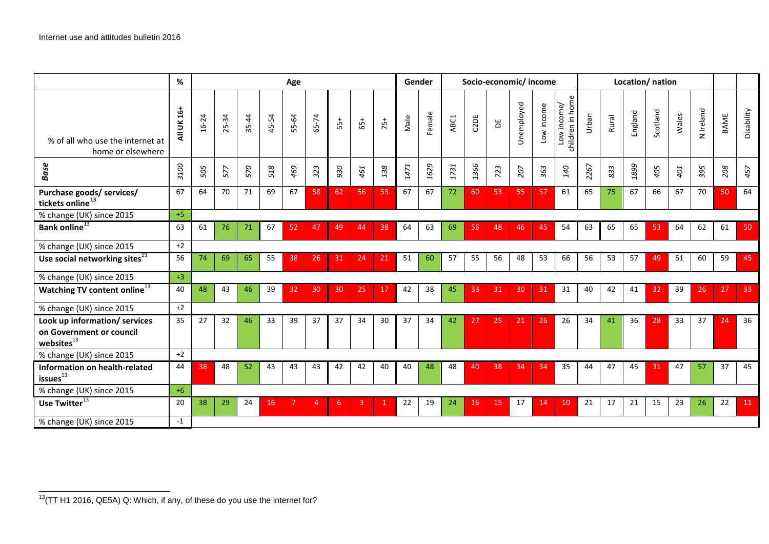<span id="page-11-0"></span>

|                                                                               | %          |       |           |           |       | Age             |       |       |       |       |      | Gender |      | Socio-economic/income |     |            |            |                                 |       |       | Location/nation |          |       |           |      |            |
|-------------------------------------------------------------------------------|------------|-------|-----------|-----------|-------|-----------------|-------|-------|-------|-------|------|--------|------|-----------------------|-----|------------|------------|---------------------------------|-------|-------|-----------------|----------|-------|-----------|------|------------|
| % of all who use the internet at<br>home or elsewhere                         | All UK 16+ | 16-24 | $25 - 34$ | $35 - 44$ | 45-54 | 55-64           | 65-74 | $55+$ | $65+$ | $75+$ | Male | Female | ABC1 | C2DE                  | Ъ   | Jnemployed | Low income | children in home<br>Low income/ | Urban | Rural | England         | Scotland | Wales | N Ireland | BAME | Disability |
| <b>Base</b>                                                                   | 3100       | 505   | 57        | 570       | 518   | 469             | 323   | 930   | 461   | 138   | 1471 | 1629   | 1731 | 1366                  | 723 | 207        | 363        | 140                             | 2267  | 833   | 1899            | 405      | 401   | 395       | 208  | 457        |
| Purchase goods/ services/<br>tickets online <sup>13</sup>                     | 67         | 64    | 70        | 71        | 69    | 67              | 58    | 62    | 56    | 53    | 67   | 67     | 72   | 60                    | 53  | 55         | 57         | 61                              | 65    | 75    | 67              | 66       | 67    | 70        | 50   | 64         |
| % change (UK) since 2015                                                      | $+5$       |       |           |           |       |                 |       |       |       |       |      |        |      |                       |     |            |            |                                 |       |       |                 |          |       |           |      |            |
| Bank online <sup>13</sup>                                                     | 63         | 61    | 76        | 71        | 67    | 52              | 47    | 49    | 44    | 38    | 64   | 63     | 69   | 56                    | 48  | 46         | 45         | 54                              | 63    | 65    | 65              | 53       | 64    | 62        | 61   | 50         |
| % change (UK) since 2015                                                      | $+2$       |       |           |           |       |                 |       |       |       |       |      |        |      |                       |     |            |            |                                 |       |       |                 |          |       |           |      |            |
| Use social networking sites <sup>13</sup>                                     | 56         | 74    | 69        | 65        | 55    | 38              | 26    | 31    | 24    | 21    | 51   | 60     | -57  | 55                    | 56  | 48         | 53         | 66                              | 56    | 53    | 57              | 49       | 51    | 60        | 59   | 45         |
| % change (UK) since 2015                                                      | $+3$       |       |           |           |       |                 |       |       |       |       |      |        |      |                       |     |            |            |                                 |       |       |                 |          |       |           |      |            |
| Watching TV content online <sup>13</sup>                                      | 40         | 48    | 43        | 46        | 39    | 32 <sub>2</sub> | 30    | 30    | 25    | 17    | 42   | 38     | 45   | 33                    | 31  | 30         | 31         | 31                              | 40    | 42    | 41              | 32       | 39    | 26        | 27   | 33         |
| % change (UK) since 2015                                                      | $+2$       |       |           |           |       |                 |       |       |       |       |      |        |      |                       |     |            |            |                                 |       |       |                 |          |       |           |      |            |
| Look up information/ services<br>on Government or council<br>websites $^{13}$ | 35         | 27    | 32        | 46        | 33    | 39              | 37    | 37    | 34    | 30    | 37   | 34     | 42   | 27                    | 25  | 21         | 26         | 26                              | 34    | 41    | 36              | 28       | 33    | 37        | 24   | 36         |
| % change (UK) since 2015                                                      | $+2$       |       |           |           |       |                 |       |       |       |       |      |        |      |                       |     |            |            |                                 |       |       |                 |          |       |           |      |            |
| Information on health-related<br>issues <sup>13</sup>                         | 44         | 38    | 48        | 52        | 43    | 43              | 43    | 42    | 42    | 40    | 40   | 48     | 48   | 40                    | 38  | 34         | 34         | 35                              | 44    | 47    | 45              | 31       | 47    | 57        | 37   | 45         |
| % change (UK) since 2015                                                      | $+6$       |       |           |           |       |                 |       |       |       |       |      |        |      |                       |     |            |            |                                 |       |       |                 |          |       |           |      |            |
| Use Twitter <sup>13</sup>                                                     | 20         | 38    | 29        | 24        | 16    |                 | 4     | 6     | 3     | 1     | 22   | 19     | 24   | 16                    | 15  | 17         | 14         | 10                              | 21    | 17    | 21              | 15       | 23    | 26        | 22   | 11         |
| % change (UK) since 2015                                                      | $-1$       |       |           |           |       |                 |       |       |       |       |      |        |      |                       |     |            |            |                                 |       |       |                 |          |       |           |      |            |

<sup>13(</sup>TT H1 2016, QE5A) Q: Which, if any, of these do you use the internet for?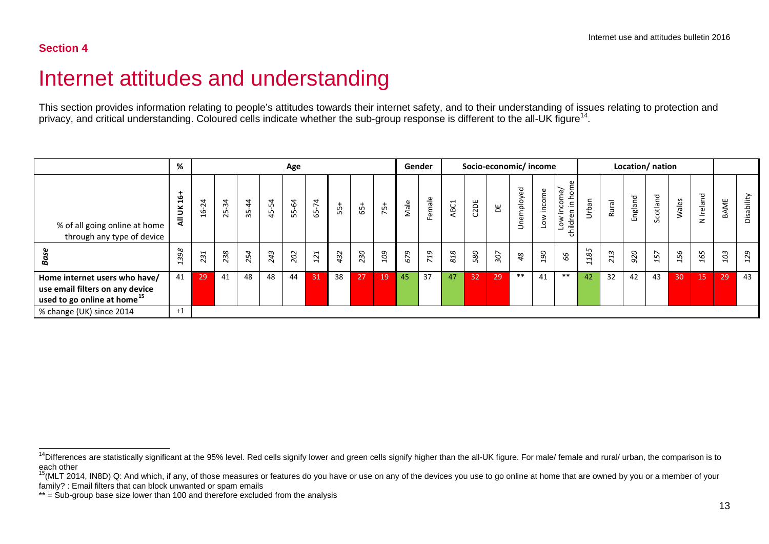## <span id="page-12-2"></span><span id="page-12-1"></span>Internet attitudes and understanding

This section provides information relating to people's attitudes towards their internet safety, and to their understanding of issues relating to protection and privacy, and critical understanding. Coloured cells indicate whether the sub-group response is different to the all-UK figure<sup>[14](#page-12-1)</sup>.

<span id="page-12-0"></span>

|                                                                                                             | %                     |                                                           |                               |                      |                            | Age   |       |     |       |       |      | Gender                                   |      |      | Socio-economic/income |                                     |                                 |                                                                                 |                       |                    |         | Location/ nation |                      |                      |             |            |
|-------------------------------------------------------------------------------------------------------------|-----------------------|-----------------------------------------------------------|-------------------------------|----------------------|----------------------------|-------|-------|-----|-------|-------|------|------------------------------------------|------|------|-----------------------|-------------------------------------|---------------------------------|---------------------------------------------------------------------------------|-----------------------|--------------------|---------|------------------|----------------------|----------------------|-------------|------------|
| % of all going online at home<br>through any type of device                                                 | فو<br>š<br>₹          | $\overline{a}$<br>$\sim$<br>G<br>$\overline{\phantom{0}}$ | 4<br>ന്<br>LO.<br>$\sim$      | $\overline{4}$<br>35 | $\overline{4}$<br>$45 - 5$ | 55-64 | 65-74 | က်  | $65+$ | $75+$ | Male | Female                                   | ABC1 | C2DE | ж                     | imployed<br>$\overline{\mathbf{v}}$ | income<br>$\circ$               | δm<br>income/<br>ے<br>ا<br>θĥ<br>$\geq$<br>hildr<br>$\circ$<br>$\left( \right)$ | Urban                 | Rural              | England | Scotland         | Wales                | N Ireland            | <b>BAME</b> | Disability |
| <b>Base</b>                                                                                                 | 398<br>$\overline{ }$ | 231                                                       | $\frac{3}{8}$<br>$\mathbf{N}$ | 254                  | 243                        | 202   | 121   | 432 | 230   | 109   | 679  | $\epsilon_L$<br>$\overline{\phantom{0}}$ | 818  | 580  | 307                   | 48                                  | $\mathcal{G}$<br>$\overline{ }$ | 99                                                                              | 185<br>$\overline{ }$ | 13<br>$\mathbf{N}$ | 920     | 157              | 56<br>$\overline{ }$ | 65<br>$\overline{ }$ | 103         | 129        |
| Home internet users who have/<br>use email filters on any device<br>used to go online at home <sup>15</sup> | 41                    | 29                                                        | 41                            | 48                   | 48                         | 44    | 31    | 38  | 27    | 19    | 45   | 37                                       | 47   | 32   | 29                    | **                                  | 41                              | $***$                                                                           | 42                    | 32                 | 42      | 43               | 30                   | 15                   | 29          | 43         |
| % change (UK) since 2014                                                                                    | $+1$                  |                                                           |                               |                      |                            |       |       |     |       |       |      |                                          |      |      |                       |                                     |                                 |                                                                                 |                       |                    |         |                  |                      |                      |             |            |

<sup>&</sup>lt;sup>14</sup>Differences are statistically significant at the 95% level. Red cells signify lower and green cells signify higher than the all-UK figure. For male/ female and rural/ urban, the comparison is to each other

<sup>&</sup>lt;sup>15</sup>(MLT 2014, IN8D) Q: And which, if any, of those measures or features do you have or use on any of the devices you use to go online at home that are owned by you or a member of your family? : Email filters that can block unwanted or spam emails

<sup>\*\* =</sup> Sub-group base size lower than 100 and therefore excluded from the analysis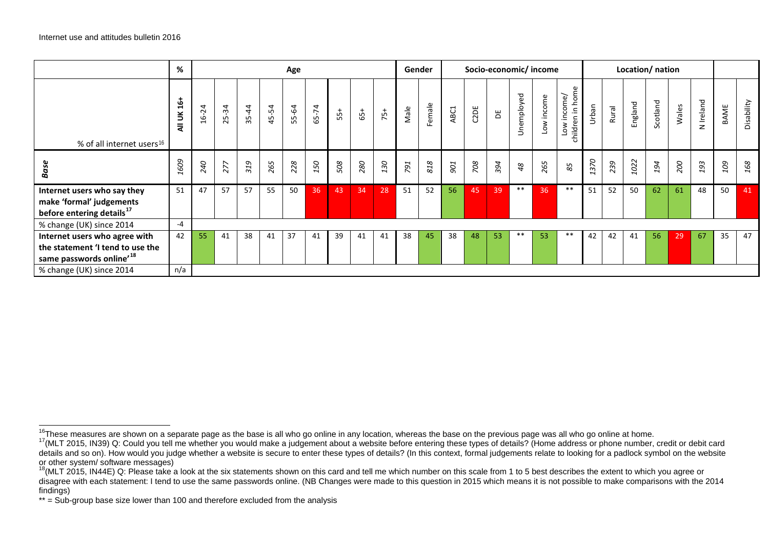<span id="page-13-2"></span><span id="page-13-1"></span><span id="page-13-0"></span>

|                                                                                                           | %               |       |                                |           |       | Age   |       |       |       |       |      | Gender |            |      |     |            | Socio-economic/income |                                 |       |       |         | Location/ nation |       |           |      |            |
|-----------------------------------------------------------------------------------------------------------|-----------------|-------|--------------------------------|-----------|-------|-------|-------|-------|-------|-------|------|--------|------------|------|-----|------------|-----------------------|---------------------------------|-------|-------|---------|------------------|-------|-----------|------|------------|
| % of all internet users <sup>16</sup>                                                                     | $16+$<br>š<br>₹ | 16-24 | $25 - 34$                      | $35 - 44$ | 45-54 | 55-64 | 65-74 | $55+$ | $65+$ | $75+$ | Male | Female | ABC1       | C2DE | Ъ   | Jnemployed | Low income            | children in home<br>Low income/ | Urban | Rural | England | Scotland         | Wales | N Ireland | BAME | Disability |
| Base                                                                                                      | 1609            | 240   | $\overline{z}$<br>$\mathbf{N}$ | 319       | 265   | 228   | 150   | 508   | 280   | 130   | 791  | 818    | <b>DOG</b> | 708  | 394 | 48         | 265                   | 85                              | 1370  | 239   | 1022    | 194              | 200   | 193       | 109  | 168        |
| Internet users who say they<br>make 'formal' judgements<br>before entering details <sup>17</sup>          | 51              | 47    | 57                             | 57        | 55    | 50    | 36    | 43    | 34    | 28    | 51   | 52     | 56         | 45   | 39  | $***$      | 36                    | $***$                           | 51    | 52    | 50      | 62               | 61    | 48        | 50   | 41         |
| % change (UK) since 2014                                                                                  | $-4$            |       |                                |           |       |       |       |       |       |       |      |        |            |      |     |            |                       |                                 |       |       |         |                  |       |           |      |            |
| Internet users who agree with<br>the statement 'I tend to use the<br>same passwords online' <sup>18</sup> | 42              | 55    | 41                             | 38        | 41    | 37    | 41    | 39    | 41    | 41    | 38   | 45     | 38         | 48   | 53  | $***$      | 53                    | $***$                           | 42    | 42    | 41      | 56               | 29    | 67        | 35   | 47         |
| % change (UK) since 2014                                                                                  | n/a             |       |                                |           |       |       |       |       |       |       |      |        |            |      |     |            |                       |                                 |       |       |         |                  |       |           |      |            |

<sup>&</sup>lt;sup>16</sup>These measures are shown on a separate page as the base is all who go online in any location, whereas the base on the previous page was all who go online at home.<br><sup>17</sup>(MLT 2015, IN39) Q: Could you tell me whether you details and so on). How would you judge whether a website is secure to enter these types of details? (In this context, formal judgements relate to looking for a padlock symbol on the website or other system/ software messages)

<sup>&</sup>lt;sup>18</sup>(MLT 2015, IN44E) Q: Please take a look at the six statements shown on this card and tell me which number on this scale from 1 to 5 best describes the extent to which you agree or disagree with each statement: I tend to use the same passwords online. (NB Changes were made to this question in 2015 which means it is not possible to make comparisons with the 2014 findings)

<sup>\*\* =</sup> Sub-group base size lower than 100 and therefore excluded from the analysis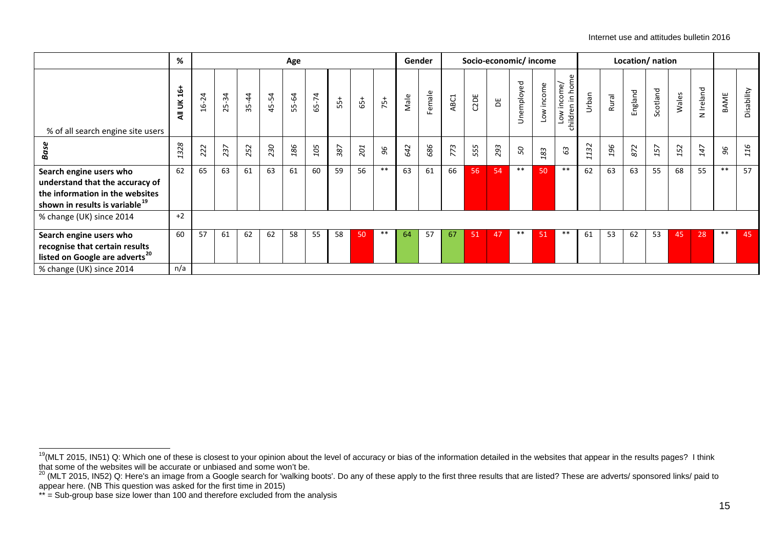<span id="page-14-1"></span><span id="page-14-0"></span>

|                                                                                                                                             | %                               |           |            |           |       | Age   |       |       |       |       |      | Gender |      | Socio-economic/income |     |            |                      |                                 |          |       | Location/ nation |          |       |           |        |            |
|---------------------------------------------------------------------------------------------------------------------------------------------|---------------------------------|-----------|------------|-----------|-------|-------|-------|-------|-------|-------|------|--------|------|-----------------------|-----|------------|----------------------|---------------------------------|----------|-------|------------------|----------|-------|-----------|--------|------------|
| % of all search engine site users                                                                                                           | $\frac{1}{2}$<br>š<br>$\bar{z}$ | $16 - 24$ | $-34$<br>ಸ | $35 - 44$ | 45-54 | 55-64 | 65-74 | $55+$ | $65+$ | $75+$ | Male | Female | ABC1 | C2DE                  | Ъ   | Jnemployed | Low income           | children in home<br>Low income/ | Urban    | Rural | England          | Scotland | Wales | N Ireland | BAME   | Disability |
| Base                                                                                                                                        | 1328                            | 222       | 237        | 252       | 230   | 186   | 105   | 387   | 201   | 96    | 642  | 686    | 773  | 555                   | 293 | 50         | 83<br>$\overline{ }$ | 63                              | 132<br>1 | 196   | 872              | 157      | 152   | 147       | $96\,$ | 116        |
| Search engine users who<br>understand that the accuracy of<br>the information in the websites<br>shown in results is variable <sup>19</sup> | 62                              | 65        | 63         | 61        | 63    | 61    | 60    | 59    | 56    | $***$ | 63   | 61     | 66   | 56                    | 54  | $***$      | 50                   | $***$                           | 62       | 63    | 63               | 55       | 68    | 55        | $***$  | 57         |
| % change (UK) since 2014                                                                                                                    | $+2$                            |           |            |           |       |       |       |       |       |       |      |        |      |                       |     |            |                      |                                 |          |       |                  |          |       |           |        |            |
| Search engine users who<br>recognise that certain results<br>listed on Google are adverts <sup>20</sup>                                     | 60                              | 57        | 61         | 62        | 62    | 58    | 55    | 58    | 50    | $***$ | 64   | 57     | 67   | 51                    | 47  | $***$      | 51                   | $***$                           | 61       | 53    | 62               | 53       | 45    | 28        | $***$  | 45         |
| % change (UK) since 2014                                                                                                                    | n/a                             |           |            |           |       |       |       |       |       |       |      |        |      |                       |     |            |                      |                                 |          |       |                  |          |       |           |        |            |

<sup>19(</sup>MLT 2015, IN51) Q: Which one of these is closest to your opinion about the level of accuracy or bias of the information detailed in the websites that appear in the results pages? I think

that some of the websites will be accurate or unbiased and some won't be.<br><sup>20</sup> (MLT 2015, IN52) Q: Here's an image from a Google search for 'walking boots'. Do any of these apply to the first three results that are listed? appear here. (NB This question was asked for the first time in 2015)

<sup>\*\* =</sup> Sub-group base size lower than 100 and therefore excluded from the analysis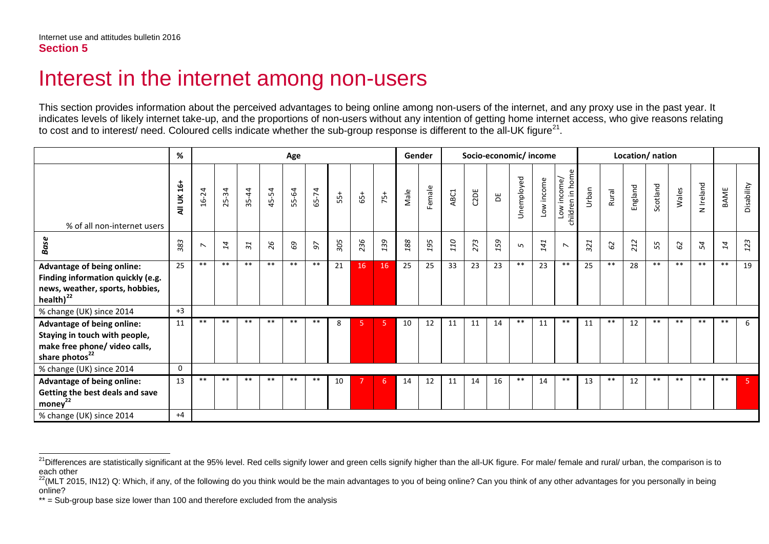## <span id="page-15-2"></span><span id="page-15-1"></span>Interest in the internet among non-users

This section provides information about the perceived advantages to being online among non-users of the internet, and any proxy use in the past year. It indicates levels of likely internet take-up, and the proportions of non-users without any intention of getting home internet access, who give reasons relating to cost and to interest/ need. Coloured cells indicate whether the sub-group response is different to the all-UK figure<sup>21</sup>.

<span id="page-15-0"></span>

|                                                                                                                            | %               |                          |           |                 |       | Age   |       |       |       |        | Gender  |        |      |      | Socio-economic/income |            |            |                                 |       |       | Location/ nation |          |       |           |       |            |
|----------------------------------------------------------------------------------------------------------------------------|-----------------|--------------------------|-----------|-----------------|-------|-------|-------|-------|-------|--------|---------|--------|------|------|-----------------------|------------|------------|---------------------------------|-------|-------|------------------|----------|-------|-----------|-------|------------|
| % of all non-internet users                                                                                                | $16+$<br>All UK | $16 - 24$                | $25 - 34$ | $35 - 44$       | 45-54 | 55-64 | 65-74 | $55+$ | $65+$ | $75 +$ | Male    | Female | ABC1 | C2DE | ă                     | Unemployed | Low income | children in home<br>Low income/ | Urban | Rural | England          | Scotland | Wales | N Ireland | BAME  | Disability |
| <b>Base</b>                                                                                                                | 383             | $\overline{\phantom{0}}$ | 14        | $\overline{31}$ | 26    | 69    | 56    | 305   | 236   | 139    | $188\,$ | 195    | 110  | 273  | 159                   | $\sqrt{2}$ | 141        | $\overline{\phantom{0}}$        | 321   | 62    | 212              | 55       | 62    | 54        | 14    | 123        |
| Advantage of being online:<br>Finding information quickly (e.g.<br>news, weather, sports, hobbies,<br>health $)^{22}$      | 25              | $***$                    | $***$     | $***$           | $***$ | $***$ | $***$ | 21    | 16    | 16     | 25      | 25     | 33   | 23   | 23                    | $***$      | 23         | $***$                           | 25    | $***$ | 28               | $***$    | $***$ | $***$     | $***$ | 19         |
| % change (UK) since 2014                                                                                                   | $+3$            |                          |           |                 |       |       |       |       |       |        |         |        |      |      |                       |            |            |                                 |       |       |                  |          |       |           |       |            |
| Advantage of being online:<br>Staying in touch with people,<br>make free phone/ video calls,<br>share photos <sup>22</sup> | 11              | $***$                    | $**$      | $***$           | $***$ | $***$ | $***$ | 8     |       | 5      | 10      | 12     | 11   | 11   | 14                    | **         | 11         | $***$                           | 11    | $***$ | 12               | $***$    | $***$ | **        | $***$ | 6          |
| % change (UK) since 2014                                                                                                   | 0               |                          |           |                 |       |       |       |       |       |        |         |        |      |      |                       |            |            |                                 |       |       |                  |          |       |           |       |            |
| Advantage of being online:<br>Getting the best deals and save<br>money <sup>22</sup>                                       | 13              | $***$                    | **        | $***$           | $***$ | **    | $***$ | 10    |       | 6      | 14      | 12     | 11   | 14   | 16                    | $***$      | 14         | $***$                           | 13    | **    | 12               | $***$    | **    | **        | $***$ | -5         |
| % change (UK) since 2014                                                                                                   | $+4$            |                          |           |                 |       |       |       |       |       |        |         |        |      |      |                       |            |            |                                 |       |       |                  |          |       |           |       |            |

<sup>&</sup>lt;sup>21</sup>Differences are statistically significant at the 95% level. Red cells signify lower and green cells signify higher than the all-UK figure. For male/ female and rural/ urban, the comparison is to each other

<sup>&</sup>lt;sup>22</sup>(MLT 2015, IN12) Q: Which, if any, of the following do you think would be the main advantages to you of being online? Can you think of any other advantages for you personally in being online?

<sup>\*\* =</sup> Sub-group base size lower than 100 and therefore excluded from the analysis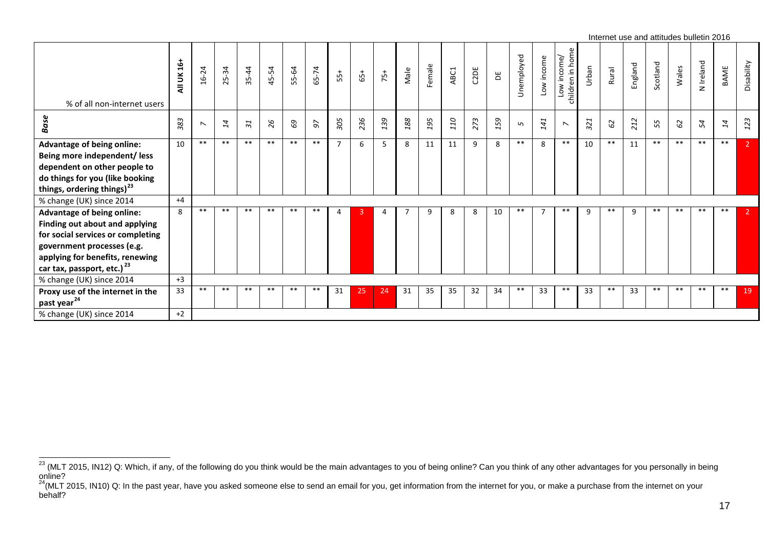<span id="page-16-1"></span><span id="page-16-0"></span>

|                                                                                                                                                                                                                     |                 |                          |       |           |       |       |       |     |       |                |      |        |      |      |     |            |            |                                    |       | Internet use and attitudes bulletin 2016 |         |          |       |           |       |            |
|---------------------------------------------------------------------------------------------------------------------------------------------------------------------------------------------------------------------|-----------------|--------------------------|-------|-----------|-------|-------|-------|-----|-------|----------------|------|--------|------|------|-----|------------|------------|------------------------------------|-------|------------------------------------------|---------|----------|-------|-----------|-------|------------|
| % of all non-internet users                                                                                                                                                                                         | $16+$<br>All UK | $16 - 24$                | 25-34 | $35 - 44$ | 45-54 | 55-64 | 65-74 | 55+ | $65+$ | $75+$          | Male | Female | ABC1 | C2DE | Ъ   | Unemployed | Low income | in home<br>Low income/<br>children | Urban | Rural                                    | England | Scotland | Wales | N Ireland | BAME  | Disability |
| Base                                                                                                                                                                                                                | 383             | $\overline{\phantom{0}}$ | 14    | 51        | 26    | 69    | 97    | 305 | 236   | 139            | 188  | 195    | 110  | 273  | 159 | $\sqrt{2}$ | 141        | $\overline{\phantom{0}}$           | 321   | 62                                       | 212     | 55       | 59    | 54        | 14    | 123        |
| <b>Advantage of being online:</b><br>Being more independent/less<br>dependent on other people to<br>do things for you (like booking<br>things, ordering things) <sup>23</sup>                                       | 10              | $***$                    | $***$ | $***$     | $***$ | $***$ | $***$ | 7   | 6     | 5              | 8    | 11     | 11   | 9    | 8   | $***$      | 8          | $***$                              | 10    | $***$                                    | 11      | $***$    | $***$ | $***$     | $***$ |            |
| % change (UK) since 2014                                                                                                                                                                                            | $+4$            |                          |       |           |       |       |       |     |       |                |      |        |      |      |     |            |            |                                    |       |                                          |         |          |       |           |       |            |
| <b>Advantage of being online:</b><br>Finding out about and applying<br>for social services or completing<br>government processes (e.g.<br>applying for benefits, renewing<br>car tax, passport, etc.) <sup>23</sup> | 8               | $***$                    | $***$ | **        | $***$ | $***$ | $***$ | 4   | 3     | $\overline{4}$ | 7    | 9      | 8    | 8    | 10  | $***$      | 7          | $***$                              | 9     | $***$                                    | 9       | **       | $***$ | $***$     | $***$ | 2.         |
| % change (UK) since 2014                                                                                                                                                                                            | $+3$            |                          |       |           |       |       |       |     |       |                |      |        |      |      |     |            |            |                                    |       |                                          |         |          |       |           |       |            |
| Proxy use of the internet in the<br>past year <sup>24</sup>                                                                                                                                                         | 33              | $***$                    | $***$ | **        | **    | **    | **    | 31  | 25    | 24             | 31   | 35     | 35   | 32   | 34  | **         | 33         | $***$                              | 33    | $***$                                    | 33      | **       | $***$ | **        | $***$ | 19         |
| % change (UK) since 2014                                                                                                                                                                                            | $+2$            |                          |       |           |       |       |       |     |       |                |      |        |      |      |     |            |            |                                    |       |                                          |         |          |       |           |       |            |

<sup>&</sup>lt;sup>23</sup> (MLT 2015, IN12) Q: Which, if any, of the following do you think would be the main advantages to you of being online? Can you think of any other advantages for you personally in being online?

 $^{24}$ (MLT 2015, IN10) Q: In the past year, have you asked someone else to send an email for you, get information from the internet for you, or make a purchase from the internet on your behalf?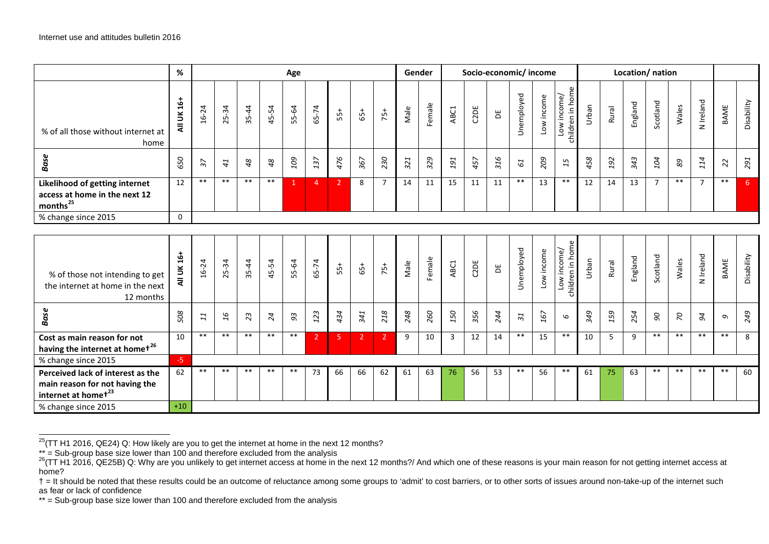<span id="page-17-1"></span><span id="page-17-0"></span>

|                                                                                                        | %            | Age             |           |           |       |       |                | Gender         | Socio-economic/income |                |      |        |                |      | Location/ nation |                          |            |                                 |       |       |         |                       |                           |                |             |                |
|--------------------------------------------------------------------------------------------------------|--------------|-----------------|-----------|-----------|-------|-------|----------------|----------------|-----------------------|----------------|------|--------|----------------|------|------------------|--------------------------|------------|---------------------------------|-------|-------|---------|-----------------------|---------------------------|----------------|-------------|----------------|
| % of all those without internet at<br>home                                                             | All UK 16+   | $16 - 24$       | $25 - 34$ | $35 - 44$ | 45-54 | 55-64 | 65-74          | $55+$          | $65+$                 | $75+$          | Male | Female | ABC1           | C2DE | $\Xi$            | Unemployed               | Low income | children in home<br>Low income/ | Urban | Rural | England | Scotland              | Wales                     | N Ireland      | <b>BAME</b> | Disability     |
| <b>Base</b>                                                                                            | 650          | $\overline{37}$ | 41        | 48        | 48    | 109   | 137            | 476            | 367                   | 230            | 321  | 329    | 191            | 457  | 316              | 61                       | 209        | 15                              | 458   | 192   | 343     | 104                   | $\mathcal{B} \mathcal{S}$ | 114            | 22          | 291            |
| Likelihood of getting internet<br>access at home in the next 12<br>months <sup>25</sup>                | 12           | $***$           | $***$     | $**$      | $***$ | 1     | $\overline{4}$ | $\overline{2}$ | 8                     | $\overline{7}$ | 14   | 11     | 15             | 11   | 11               | $***$                    | 13         | $***$                           | 12    | 14    | 13      | $\overline{7}$        | $***$                     | $\overline{7}$ | $\ast\ast$  | 6 <sup>1</sup> |
| % change since 2015                                                                                    | $\mathbf{0}$ |                 |           |           |       |       |                |                |                       |                |      |        |                |      |                  |                          |            |                                 |       |       |         |                       |                           |                |             |                |
|                                                                                                        |              |                 |           |           |       |       |                |                |                       |                |      |        |                |      |                  |                          |            |                                 |       |       |         |                       |                           |                |             |                |
| % of those not intending to get<br>the internet at home in the next<br>12 months                       | All UK 16+   | $16 - 24$       | $25 - 34$ | $35 - 44$ | 45-54 | 55-64 | 65-74          | $55+$          | $65+$                 | $75+$          | Male | Female | ABC1           | C2DE | $\Xi$            | Unemployed               | Low income | children in home<br>Low income/ | Urban | Rural | England | Scotland              | Wales                     | N Ireland      | BAME        | Disability     |
| <b>Base</b>                                                                                            | 508          | 11              | 16        | 23        | 24    | $93$  | 123            | 434            | 341                   | 218            | 248  | 260    | 150            | 356  | 244              | $\overline{\mathcal{E}}$ | 167        | $\mathcal{Q}$                   | 349   | 159   | 254     | $\partial\mathcal{C}$ | $\mathcal{L}$             | 94             | $\sigma$    | 249            |
| Cost as main reason for not<br>having the internet at homet <sup>26</sup>                              | 10           | $***$           | $***$     | $***$     | $***$ | $***$ | $\overline{2}$ | 5              | $\overline{2}$        | $\overline{2}$ | 9    | 10     | $\overline{3}$ | 12   | 14               | $***$                    | 15         | $\ast\ast$                      | 10    | 5     | 9       | $***$                 | $***$                     | $***$          | $***$       | 8              |
| % change since 2015                                                                                    | $-5$         |                 |           |           |       |       |                |                |                       |                |      |        |                |      |                  |                          |            |                                 |       |       |         |                       |                           |                |             |                |
| Perceived lack of interest as the<br>main reason for not having the<br>internet at homet <sup>23</sup> | 62           | $***$           | $***$     | $***$     | $***$ | $***$ | 73             | 66             | 66                    | 62             | 61   | 63     | 76             | 56   | 53               | $***$                    | 56         | $***$                           | 61    | 75    | 63      | $***$                 | $***$                     | $***$          | **          | 60             |
| % change since 2015                                                                                    | $+10$        |                 |           |           |       |       |                |                |                       |                |      |        |                |      |                  |                          |            |                                 |       |       |         |                       |                           |                |             |                |

 $\frac{25}{T}$ (TT H1 2016, QE24) Q: How likely are you to get the internet at home in the next 12 months?

<sup>\*\* =</sup> Sub-group base size lower than 100 and therefore excluded from the analysis<br><sup>26</sup>(TT H1 2016, QE25B) Q: Why are you unlikely to get internet access at home in the next 12 months?/ And which one of these reasons is your home?

<sup>† =</sup> It should be noted that these results could be an outcome of reluctance among some groups to 'admit' to cost barriers, or to other sorts of issues around non-take-up of the internet such as fear or lack of confidence

<sup>\*\* =</sup> Sub-group base size lower than 100 and therefore excluded from the analysis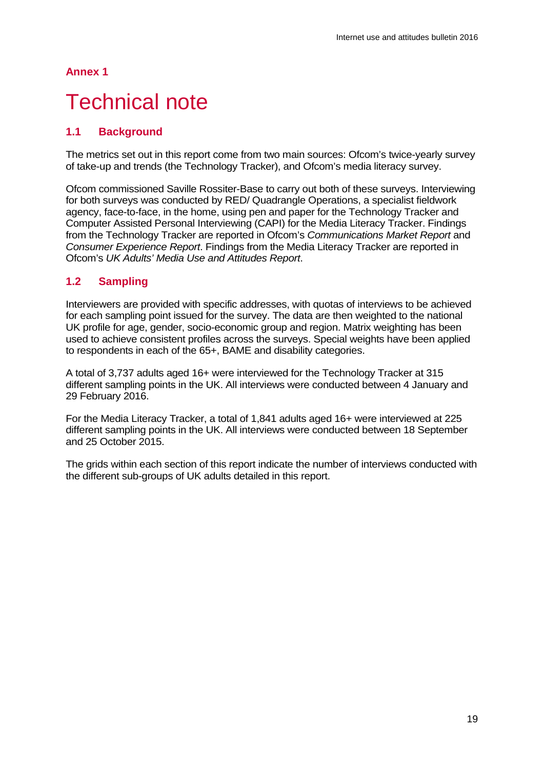#### **Annex 1**

## <span id="page-18-0"></span>**Technical note**

### **1.1 Background**

The metrics set out in this report come from two main sources: Ofcom's twice-yearly survey of take-up and trends (the Technology Tracker), and Ofcom's media literacy survey.

Ofcom commissioned Saville Rossiter-Base to carry out both of these surveys. Interviewing for both surveys was conducted by RED/ Quadrangle Operations, a specialist fieldwork agency, face-to-face, in the home, using pen and paper for the Technology Tracker and Computer Assisted Personal Interviewing (CAPI) for the Media Literacy Tracker. Findings from the Technology Tracker are reported in Ofcom's *Communications Market Report* and *Consumer Experience Report*. Findings from the Media Literacy Tracker are reported in Ofcom's *UK Adults' Media Use and Attitudes Report*.

#### **1.2 Sampling**

Interviewers are provided with specific addresses, with quotas of interviews to be achieved for each sampling point issued for the survey. The data are then weighted to the national UK profile for age, gender, socio-economic group and region. Matrix weighting has been used to achieve consistent profiles across the surveys. Special weights have been applied to respondents in each of the 65+, BAME and disability categories.

A total of 3,737 adults aged 16+ were interviewed for the Technology Tracker at 315 different sampling points in the UK. All interviews were conducted between 4 January and 29 February 2016.

For the Media Literacy Tracker, a total of 1,841 adults aged 16+ were interviewed at 225 different sampling points in the UK. All interviews were conducted between 18 September and 25 October 2015.

The grids within each section of this report indicate the number of interviews conducted with the different sub-groups of UK adults detailed in this report.